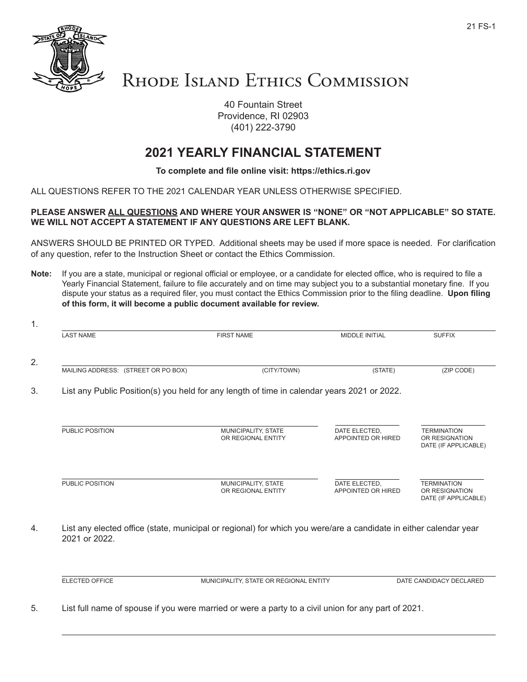

## RHODE ISLAND ETHICS COMMISSION

40 Fountain Street Providence, RI 02903 (401) 222-3790

## **2021 YEARLY FINANCIAL STATEMENT**

## **To complete and file online visit: https://ethics.ri.gov**

ALL QUESTIONS REFER TO THE 2021 CALENDAR YEAR UNLESS OTHERWISE SPECIFIED.

## **PLEASE ANSWER ALL QUESTIONS AND WHERE YOUR ANSWER IS "NONE" OR "NOT APPLICABLE" SO STATE. WE WILL NOT ACCEPT A STATEMENT IF ANY QUESTIONS ARE LEFT BLANK.**

ANSWERS SHOULD BE PRINTED OR TYPED. Additional sheets may be used if more space is needed. For clarification of any question, refer to the Instruction Sheet or contact the Ethics Commission.

**Note:** If you are a state, municipal or regional official or employee, or a candidate for elected office, who is required to file a Yearly Financial Statement, failure to file accurately and on time may subject you to a substantial monetary fine. If you dispute your status as a required filer, you must contact the Ethics Commission prior to the filing deadline. **Upon filing of this form, it will become a public document available for review.**

| <b>LAST NAME</b>                    | <b>FIRST NAME</b>                                                                           | <b>MIDDLE INITIAL</b>               | <b>SUFFIX</b>                                                |
|-------------------------------------|---------------------------------------------------------------------------------------------|-------------------------------------|--------------------------------------------------------------|
| MAILING ADDRESS: (STREET OR PO BOX) | (CITY/TOWN)                                                                                 | (STATE)                             | (ZIP CODE)                                                   |
|                                     | List any Public Position(s) you held for any length of time in calendar years 2021 or 2022. |                                     |                                                              |
| PUBLIC POSITION                     | MUNICIPALITY, STATE<br>OR REGIONAL ENTITY                                                   | DATE ELECTED,<br>APPOINTED OR HIRED | <b>TERMINATION</b><br>OR RESIGNATION<br>DATE (IF APPLICABLE) |
|                                     |                                                                                             |                                     |                                                              |

ELECTED OFFICE MUNICIPALITY, STATE OR REGIONAL ENTITY DATE CANDIDACY DECLARED

5. List full name of spouse if you were married or were a party to a civil union for any part of 2021.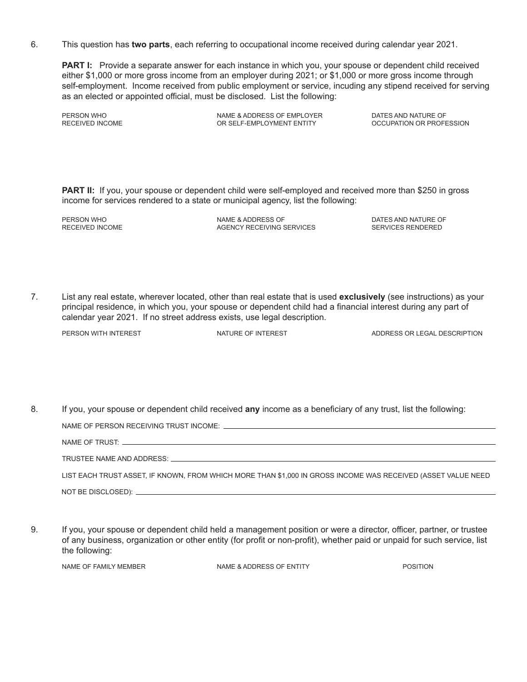6. This question has **two parts**, each referring to occupational income received during calendar year 2021.

**PART I:** Provide a separate answer for each instance in which you, your spouse or dependent child received either \$1,000 or more gross income from an employer during 2021; or \$1,000 or more gross income through self-employment. Income received from public employment or service, incuding any stipend received for serving as an elected or appointed official, must be disclosed. List the following:

PERSON WHO NAME & ADDRESS OF EMPLOYER DATES AND NATURE OF OR SELF-EMPLOYMENT ENTITY

**PART II:** If you, your spouse or dependent child were self-employed and received more than \$250 in gross income for services rendered to a state or municipal agency, list the following:

PERSON WHO NAME & ADDRESS OF THE DATES AND NATURE OF THE DATES AND NATURE OF RECEIVED INCOME AGENCY RECEIVING SERVICES SERVICES RENDERED

7. List any real estate, wherever located, other than real estate that is used **exclusively** (see instructions) as your principal residence, in which you, your spouse or dependent child had a financial interest during any part of calendar year 2021. If no street address exists, use legal description.

PERSON WITH INTEREST **NATURE OF INTEREST** ADDRESS OR LEGAL DESCRIPTION

8. If you, your spouse or dependent child received **any** income as a beneficiary of any trust, list the following:

NAME OF PERSON RECEIVING TRUST INCOME: NAME OF TRUST: TRUSTEE NAME AND ADDRESS: LIST EACH TRUST ASSET, IF KNOWN, FROM WHICH MORE THAN \$1,000 IN GROSS INCOME WAS RECEIVED (ASSET VALUE NEED NOT BE DISCLOSED):

9. If you, your spouse or dependent child held a management position or were a director, officer, partner, or trustee of any business, organization or other entity (for profit or non-profit), whether paid or unpaid for such service, list the following:

NAME OF FAMILY MEMBER NAME & ADDRESS OF ENTITY POSITION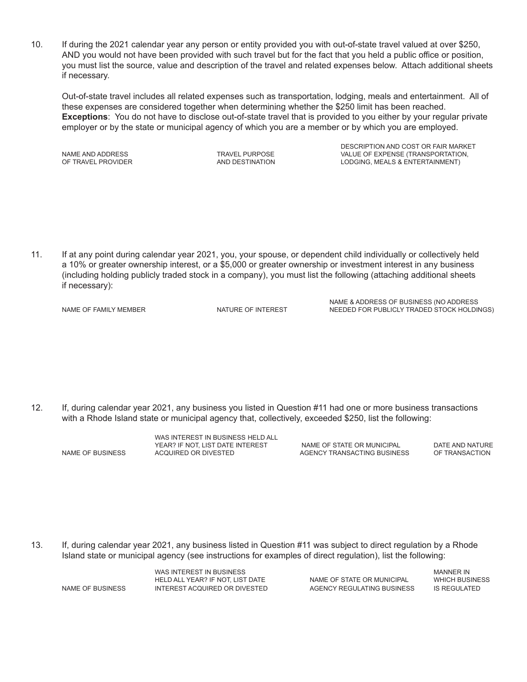10. If during the 2021 calendar year any person or entity provided you with out-of-state travel valued at over \$250, AND you would not have been provided with such travel but for the fact that you held a public office or position, you must list the source, value and description of the travel and related expenses below. Attach additional sheets if necessary.

Out-of-state travel includes all related expenses such as transportation, lodging, meals and entertainment. All of these expenses are considered together when determining whether the \$250 limit has been reached. **Exceptions**: You do not have to disclose out-of-state travel that is provided to you either by your regular private employer or by the state or municipal agency of which you are a member or by which you are employed.

 DESCRIPTION AND COST OR FAIR MARKET NAME AND ADDRESS TRAVEL PURPOSE TRAVEL PURPOSE VALUE OF EXPENSE (TRANSPORTATION,<br>OF TRAVEL PROVIDER TRANSPORTATION AND DESTINATION TO DESPENSE A LODGING, MEALS & ENTERTAINMENT) AND DESTINATION LODGING, MEALS & ENTERTAINMENT)

11. If at any point during calendar year 2021, you, your spouse, or dependent child individually or collectively held a 10% or greater ownership interest, or a \$5,000 or greater ownership or investment interest in any business (including holding publicly traded stock in a company), you must list the following (attaching additional sheets if necessary):

NAME & ADDRESS OF BUSINESS (NO ADDRESS<br>NAME OF FAMILY MEMBER NATURE OF INTEREST NEEDED FOR PUBLICLY TRADED STOCK HOLDIN NEEDED FOR PUBLICLY TRADED STOCK HOLDINGS)

12. If, during calendar year 2021, any business you listed in Question #11 had one or more business transactions with a Rhode Island state or municipal agency that, collectively, exceeded \$250, list the following:

WAS INTEREST IN BUSINESS HELD ALL YEAR? IF NOT, LIST DATE INTEREST NAME OF STATE OR MUNICIPAL BUSINESS DATE AND NATURE<br>AGENCY TRANSACTING BUSINESS OF TRANSACTION

AGENCY TRANSACTING BUSINESS

13. If, during calendar year 2021, any business listed in Question #11 was subject to direct regulation by a Rhode Island state or municipal agency (see instructions for examples of direct regulation), list the following:

 WAS INTEREST IN BUSINESS MANNER IN HELD ALL YEAR? IF NOT, LIST DATE NAME OF BUSINESS INTEREST ACQUIRED OR DIVESTED AGENCY REGULATING BUSINESS IS REGULATED